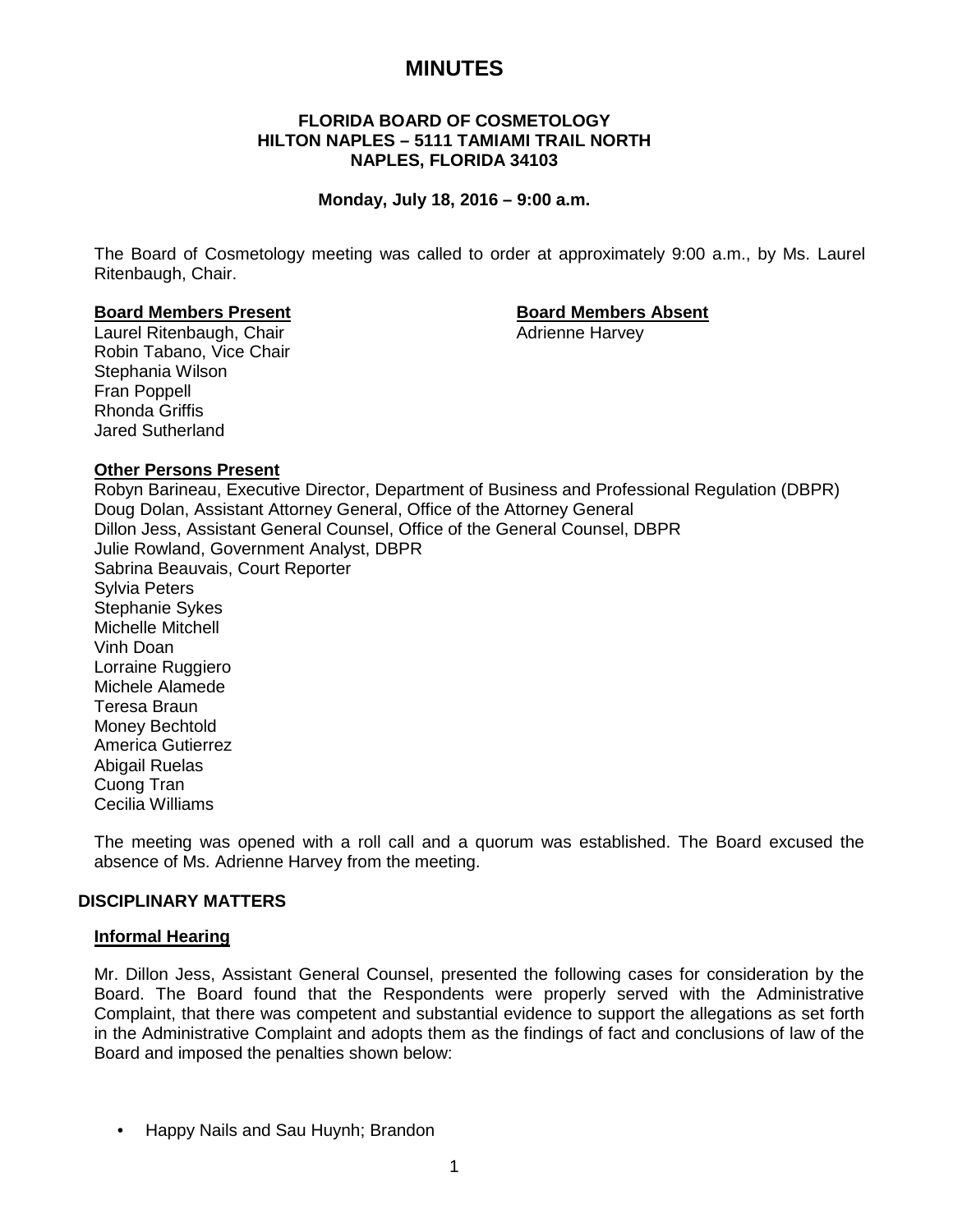# **MINUTES**

# **FLORIDA BOARD OF COSMETOLOGY HILTON NAPLES – 5111 TAMIAMI TRAIL NORTH NAPLES, FLORIDA 34103**

# **Monday, July 18, 2016 – 9:00 a.m.**

The Board of Cosmetology meeting was called to order at approximately 9:00 a.m., by Ms. Laurel Ritenbaugh, Chair.

# **Board Members Present Board Members Absent**

Laurel Ritenbaugh, Chair **Adrienne Harvey** Adrienne Harvey Robin Tabano, Vice Chair Stephania Wilson Fran Poppell Rhonda Griffis Jared Sutherland

# **Other Persons Present**

Robyn Barineau, Executive Director, Department of Business and Professional Regulation (DBPR) Doug Dolan, Assistant Attorney General, Office of the Attorney General Dillon Jess, Assistant General Counsel, Office of the General Counsel, DBPR Julie Rowland, Government Analyst, DBPR Sabrina Beauvais, Court Reporter Sylvia Peters Stephanie Sykes Michelle Mitchell Vinh Doan Lorraine Ruggiero Michele Alamede Teresa Braun Money Bechtold America Gutierrez Abigail Ruelas Cuong Tran Cecilia Williams

The meeting was opened with a roll call and a quorum was established. The Board excused the absence of Ms. Adrienne Harvey from the meeting.

# **DISCIPLINARY MATTERS**

# **Informal Hearing**

Mr. Dillon Jess, Assistant General Counsel, presented the following cases for consideration by the Board. The Board found that the Respondents were properly served with the Administrative Complaint, that there was competent and substantial evidence to support the allegations as set forth in the Administrative Complaint and adopts them as the findings of fact and conclusions of law of the Board and imposed the penalties shown below:

• Happy Nails and Sau Huynh; Brandon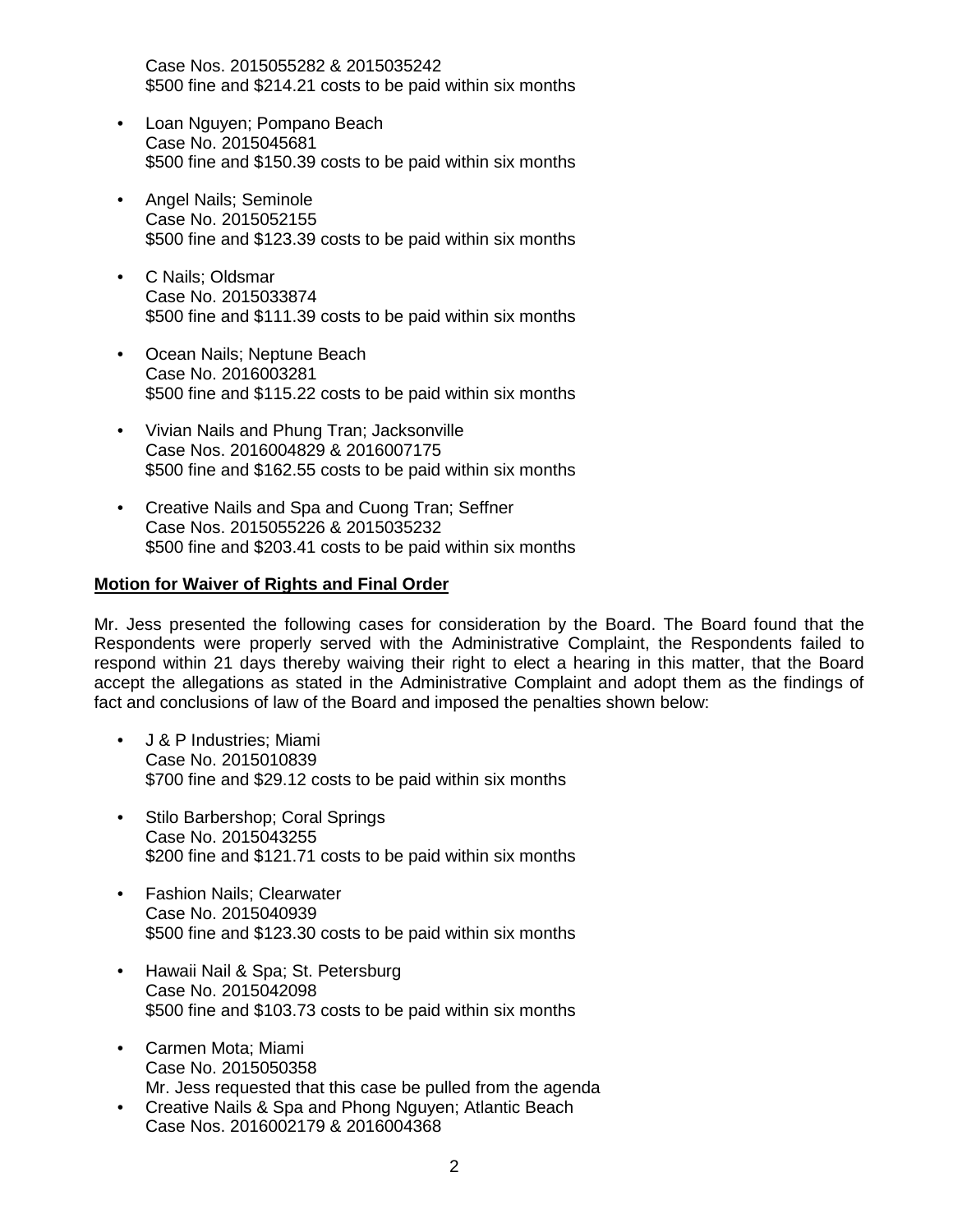Case Nos. 2015055282 & 2015035242 \$500 fine and \$214.21 costs to be paid within six months

- Loan Nguyen; Pompano Beach Case No. 2015045681 \$500 fine and \$150.39 costs to be paid within six months
- Angel Nails; Seminole Case No. 2015052155 \$500 fine and \$123.39 costs to be paid within six months
- C Nails; Oldsmar Case No. 2015033874 \$500 fine and \$111.39 costs to be paid within six months
- Ocean Nails; Neptune Beach Case No. 2016003281 \$500 fine and \$115.22 costs to be paid within six months
- Vivian Nails and Phung Tran; Jacksonville Case Nos. 2016004829 & 2016007175 \$500 fine and \$162.55 costs to be paid within six months
- Creative Nails and Spa and Cuong Tran; Seffner Case Nos. 2015055226 & 2015035232 \$500 fine and \$203.41 costs to be paid within six months

# **Motion for Waiver of Rights and Final Order**

Mr. Jess presented the following cases for consideration by the Board. The Board found that the Respondents were properly served with the Administrative Complaint, the Respondents failed to respond within 21 days thereby waiving their right to elect a hearing in this matter, that the Board accept the allegations as stated in the Administrative Complaint and adopt them as the findings of fact and conclusions of law of the Board and imposed the penalties shown below:

- J & P Industries; Miami Case No. 2015010839 \$700 fine and \$29.12 costs to be paid within six months
- Stilo Barbershop; Coral Springs Case No. 2015043255 \$200 fine and \$121.71 costs to be paid within six months
- Fashion Nails; Clearwater Case No. 2015040939 \$500 fine and \$123.30 costs to be paid within six months
- Hawaii Nail & Spa; St. Petersburg Case No. 2015042098 \$500 fine and \$103.73 costs to be paid within six months
- Carmen Mota; Miami Case No. 2015050358 Mr. Jess requested that this case be pulled from the agenda
- Creative Nails & Spa and Phong Nguyen; Atlantic Beach Case Nos. 2016002179 & 2016004368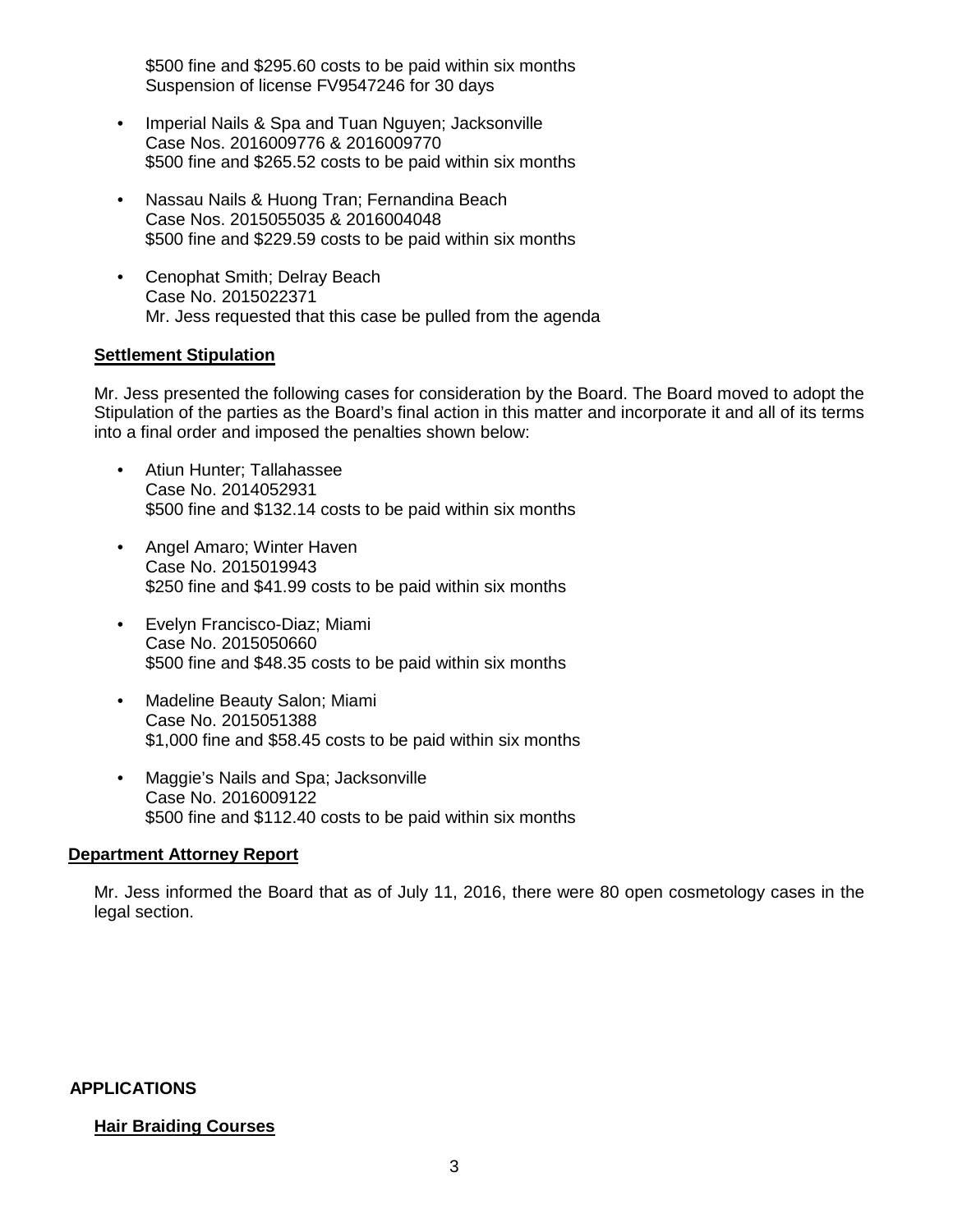\$500 fine and \$295.60 costs to be paid within six months Suspension of license FV9547246 for 30 days

- Imperial Nails & Spa and Tuan Nguyen; Jacksonville Case Nos. 2016009776 & 2016009770 \$500 fine and \$265.52 costs to be paid within six months
- Nassau Nails & Huong Tran; Fernandina Beach Case Nos. 2015055035 & 2016004048 \$500 fine and \$229.59 costs to be paid within six months
- Cenophat Smith; Delray Beach Case No. 2015022371 Mr. Jess requested that this case be pulled from the agenda

# **Settlement Stipulation**

Mr. Jess presented the following cases for consideration by the Board. The Board moved to adopt the Stipulation of the parties as the Board's final action in this matter and incorporate it and all of its terms into a final order and imposed the penalties shown below:

- Atiun Hunter; Tallahassee Case No. 2014052931 \$500 fine and \$132.14 costs to be paid within six months
- Angel Amaro; Winter Haven Case No. 2015019943 \$250 fine and \$41.99 costs to be paid within six months
- Evelyn Francisco-Diaz; Miami Case No. 2015050660 \$500 fine and \$48.35 costs to be paid within six months
- Madeline Beauty Salon; Miami Case No. 2015051388 \$1,000 fine and \$58.45 costs to be paid within six months
- Maggie's Nails and Spa; Jacksonville Case No. 2016009122 \$500 fine and \$112.40 costs to be paid within six months

# **Department Attorney Report**

Mr. Jess informed the Board that as of July 11, 2016, there were 80 open cosmetology cases in the legal section.

# **APPLICATIONS**

# **Hair Braiding Courses**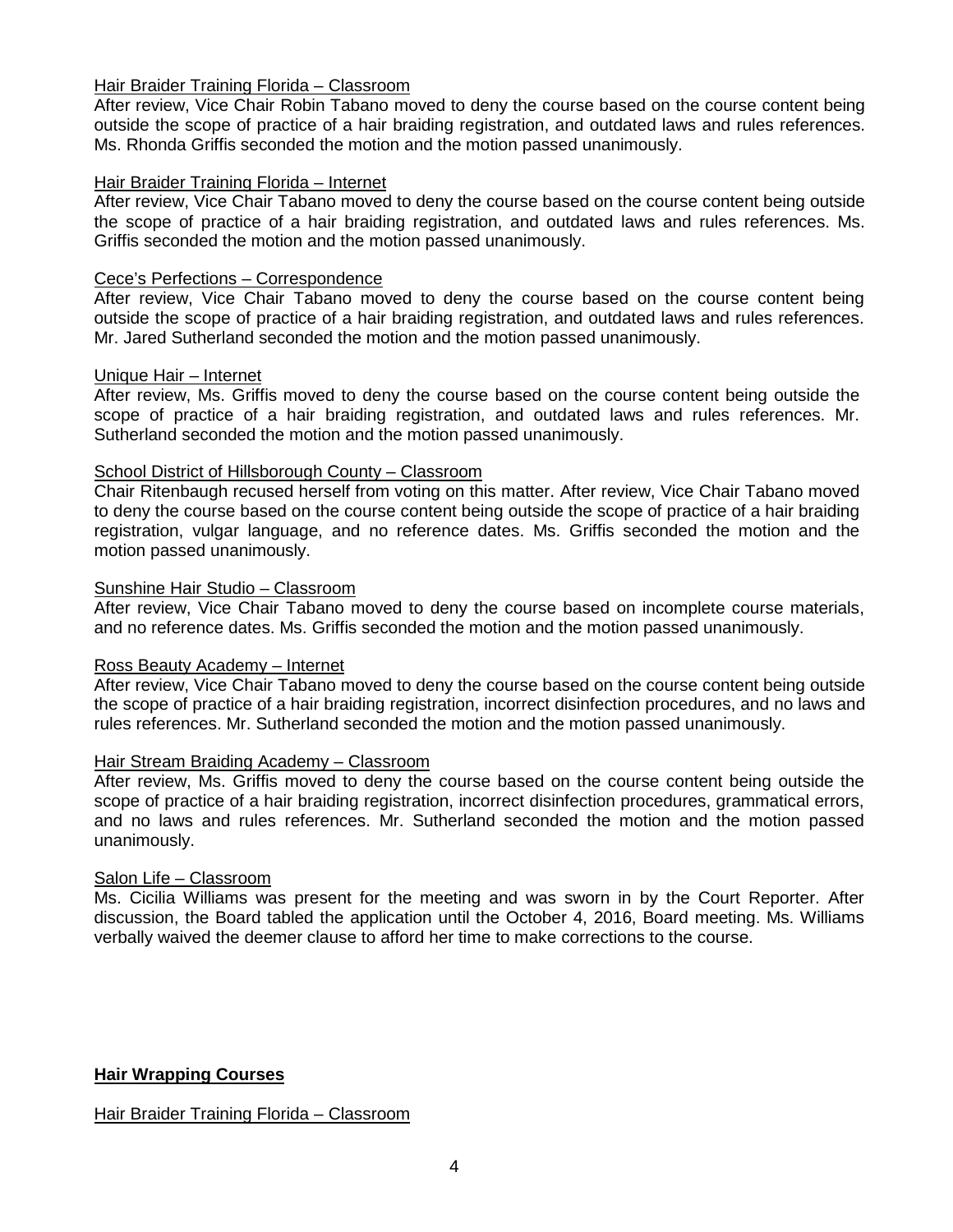# Hair Braider Training Florida – Classroom

After review, Vice Chair Robin Tabano moved to deny the course based on the course content being outside the scope of practice of a hair braiding registration, and outdated laws and rules references. Ms. Rhonda Griffis seconded the motion and the motion passed unanimously.

# Hair Braider Training Florida – Internet

After review, Vice Chair Tabano moved to deny the course based on the course content being outside the scope of practice of a hair braiding registration, and outdated laws and rules references. Ms. Griffis seconded the motion and the motion passed unanimously.

# Cece's Perfections – Correspondence

After review, Vice Chair Tabano moved to deny the course based on the course content being outside the scope of practice of a hair braiding registration, and outdated laws and rules references. Mr. Jared Sutherland seconded the motion and the motion passed unanimously.

# Unique Hair – Internet

After review, Ms. Griffis moved to deny the course based on the course content being outside the scope of practice of a hair braiding registration, and outdated laws and rules references. Mr. Sutherland seconded the motion and the motion passed unanimously.

# School District of Hillsborough County – Classroom

Chair Ritenbaugh recused herself from voting on this matter. After review, Vice Chair Tabano moved to deny the course based on the course content being outside the scope of practice of a hair braiding registration, vulgar language, and no reference dates. Ms. Griffis seconded the motion and the motion passed unanimously.

# Sunshine Hair Studio – Classroom

After review, Vice Chair Tabano moved to deny the course based on incomplete course materials, and no reference dates. Ms. Griffis seconded the motion and the motion passed unanimously.

# Ross Beauty Academy – Internet

After review, Vice Chair Tabano moved to deny the course based on the course content being outside the scope of practice of a hair braiding registration, incorrect disinfection procedures, and no laws and rules references. Mr. Sutherland seconded the motion and the motion passed unanimously.

# Hair Stream Braiding Academy – Classroom

After review, Ms. Griffis moved to deny the course based on the course content being outside the scope of practice of a hair braiding registration, incorrect disinfection procedures, grammatical errors, and no laws and rules references. Mr. Sutherland seconded the motion and the motion passed unanimously.

# Salon Life – Classroom

Ms. Cicilia Williams was present for the meeting and was sworn in by the Court Reporter. After discussion, the Board tabled the application until the October 4, 2016, Board meeting. Ms. Williams verbally waived the deemer clause to afford her time to make corrections to the course.

# **Hair Wrapping Courses**

# Hair Braider Training Florida – Classroom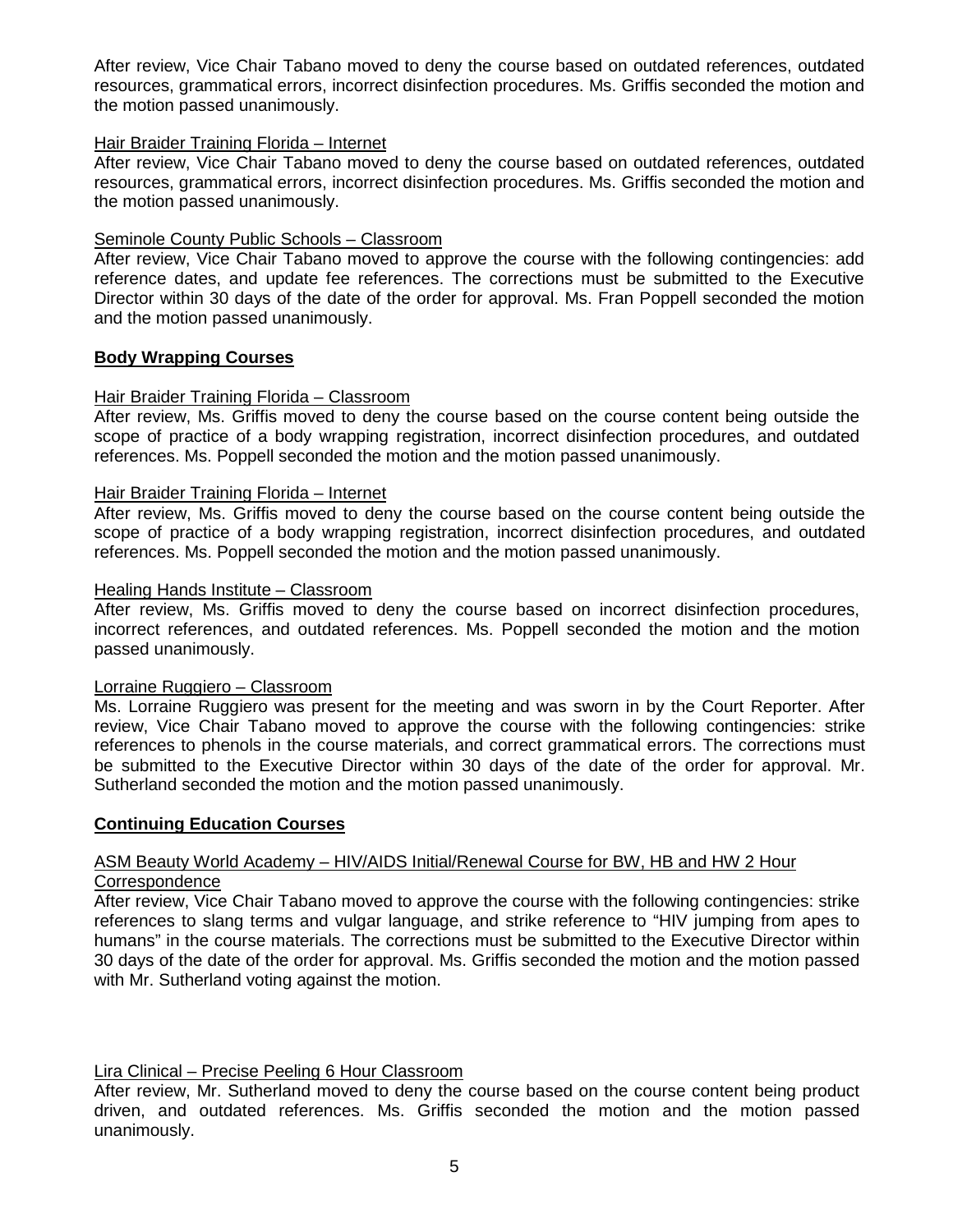After review, Vice Chair Tabano moved to deny the course based on outdated references, outdated resources, grammatical errors, incorrect disinfection procedures. Ms. Griffis seconded the motion and the motion passed unanimously.

# Hair Braider Training Florida – Internet

After review, Vice Chair Tabano moved to deny the course based on outdated references, outdated resources, grammatical errors, incorrect disinfection procedures. Ms. Griffis seconded the motion and the motion passed unanimously.

# Seminole County Public Schools – Classroom

After review, Vice Chair Tabano moved to approve the course with the following contingencies: add reference dates, and update fee references. The corrections must be submitted to the Executive Director within 30 days of the date of the order for approval. Ms. Fran Poppell seconded the motion and the motion passed unanimously.

# **Body Wrapping Courses**

# Hair Braider Training Florida – Classroom

After review, Ms. Griffis moved to deny the course based on the course content being outside the scope of practice of a body wrapping registration, incorrect disinfection procedures, and outdated references. Ms. Poppell seconded the motion and the motion passed unanimously.

# Hair Braider Training Florida – Internet

After review, Ms. Griffis moved to deny the course based on the course content being outside the scope of practice of a body wrapping registration, incorrect disinfection procedures, and outdated references. Ms. Poppell seconded the motion and the motion passed unanimously.

# Healing Hands Institute – Classroom

After review, Ms. Griffis moved to deny the course based on incorrect disinfection procedures, incorrect references, and outdated references. Ms. Poppell seconded the motion and the motion passed unanimously.

# Lorraine Ruggiero – Classroom

Ms. Lorraine Ruggiero was present for the meeting and was sworn in by the Court Reporter. After review, Vice Chair Tabano moved to approve the course with the following contingencies: strike references to phenols in the course materials, and correct grammatical errors. The corrections must be submitted to the Executive Director within 30 days of the date of the order for approval. Mr. Sutherland seconded the motion and the motion passed unanimously.

# **Continuing Education Courses**

# ASM Beauty World Academy – HIV/AIDS Initial/Renewal Course for BW, HB and HW 2 Hour

# **Correspondence**

After review, Vice Chair Tabano moved to approve the course with the following contingencies: strike references to slang terms and vulgar language, and strike reference to "HIV jumping from apes to humans" in the course materials. The corrections must be submitted to the Executive Director within 30 days of the date of the order for approval. Ms. Griffis seconded the motion and the motion passed with Mr. Sutherland voting against the motion.

# Lira Clinical – Precise Peeling 6 Hour Classroom

After review, Mr. Sutherland moved to deny the course based on the course content being product driven, and outdated references. Ms. Griffis seconded the motion and the motion passed unanimously.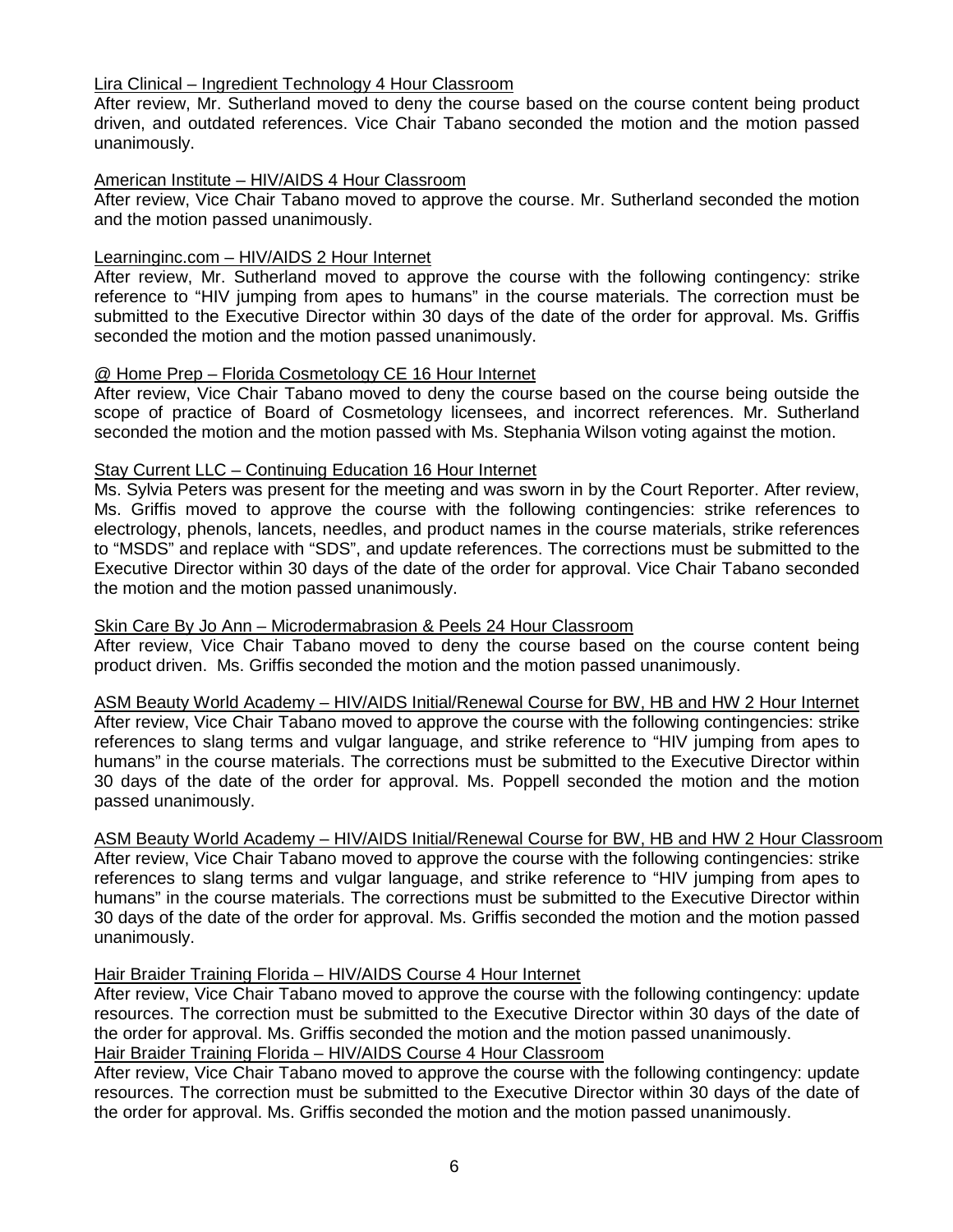# Lira Clinical – Ingredient Technology 4 Hour Classroom

After review, Mr. Sutherland moved to deny the course based on the course content being product driven, and outdated references. Vice Chair Tabano seconded the motion and the motion passed unanimously.

# American Institute – HIV/AIDS 4 Hour Classroom

After review, Vice Chair Tabano moved to approve the course. Mr. Sutherland seconded the motion and the motion passed unanimously.

# Learninginc.com – HIV/AIDS 2 Hour Internet

After review, Mr. Sutherland moved to approve the course with the following contingency: strike reference to "HIV jumping from apes to humans" in the course materials. The correction must be submitted to the Executive Director within 30 days of the date of the order for approval. Ms. Griffis seconded the motion and the motion passed unanimously.

# @ Home Prep – Florida Cosmetology CE 16 Hour Internet

After review, Vice Chair Tabano moved to deny the course based on the course being outside the scope of practice of Board of Cosmetology licensees, and incorrect references. Mr. Sutherland seconded the motion and the motion passed with Ms. Stephania Wilson voting against the motion.

# Stay Current LLC – Continuing Education 16 Hour Internet

Ms. Sylvia Peters was present for the meeting and was sworn in by the Court Reporter. After review, Ms. Griffis moved to approve the course with the following contingencies: strike references to electrology, phenols, lancets, needles, and product names in the course materials, strike references to "MSDS" and replace with "SDS", and update references. The corrections must be submitted to the Executive Director within 30 days of the date of the order for approval. Vice Chair Tabano seconded the motion and the motion passed unanimously.

# Skin Care By Jo Ann – Microdermabrasion & Peels 24 Hour Classroom

After review, Vice Chair Tabano moved to deny the course based on the course content being product driven. Ms. Griffis seconded the motion and the motion passed unanimously.

ASM Beauty World Academy – HIV/AIDS Initial/Renewal Course for BW, HB and HW 2 Hour Internet After review, Vice Chair Tabano moved to approve the course with the following contingencies: strike references to slang terms and vulgar language, and strike reference to "HIV jumping from apes to humans" in the course materials. The corrections must be submitted to the Executive Director within 30 days of the date of the order for approval. Ms. Poppell seconded the motion and the motion passed unanimously.

# ASM Beauty World Academy – HIV/AIDS Initial/Renewal Course for BW, HB and HW 2 Hour Classroom

After review, Vice Chair Tabano moved to approve the course with the following contingencies: strike references to slang terms and vulgar language, and strike reference to "HIV jumping from apes to humans" in the course materials. The corrections must be submitted to the Executive Director within 30 days of the date of the order for approval. Ms. Griffis seconded the motion and the motion passed unanimously.

# Hair Braider Training Florida – HIV/AIDS Course 4 Hour Internet

After review, Vice Chair Tabano moved to approve the course with the following contingency: update resources. The correction must be submitted to the Executive Director within 30 days of the date of the order for approval. Ms. Griffis seconded the motion and the motion passed unanimously. Hair Braider Training Florida – HIV/AIDS Course 4 Hour Classroom

After review, Vice Chair Tabano moved to approve the course with the following contingency: update resources. The correction must be submitted to the Executive Director within 30 days of the date of the order for approval. Ms. Griffis seconded the motion and the motion passed unanimously.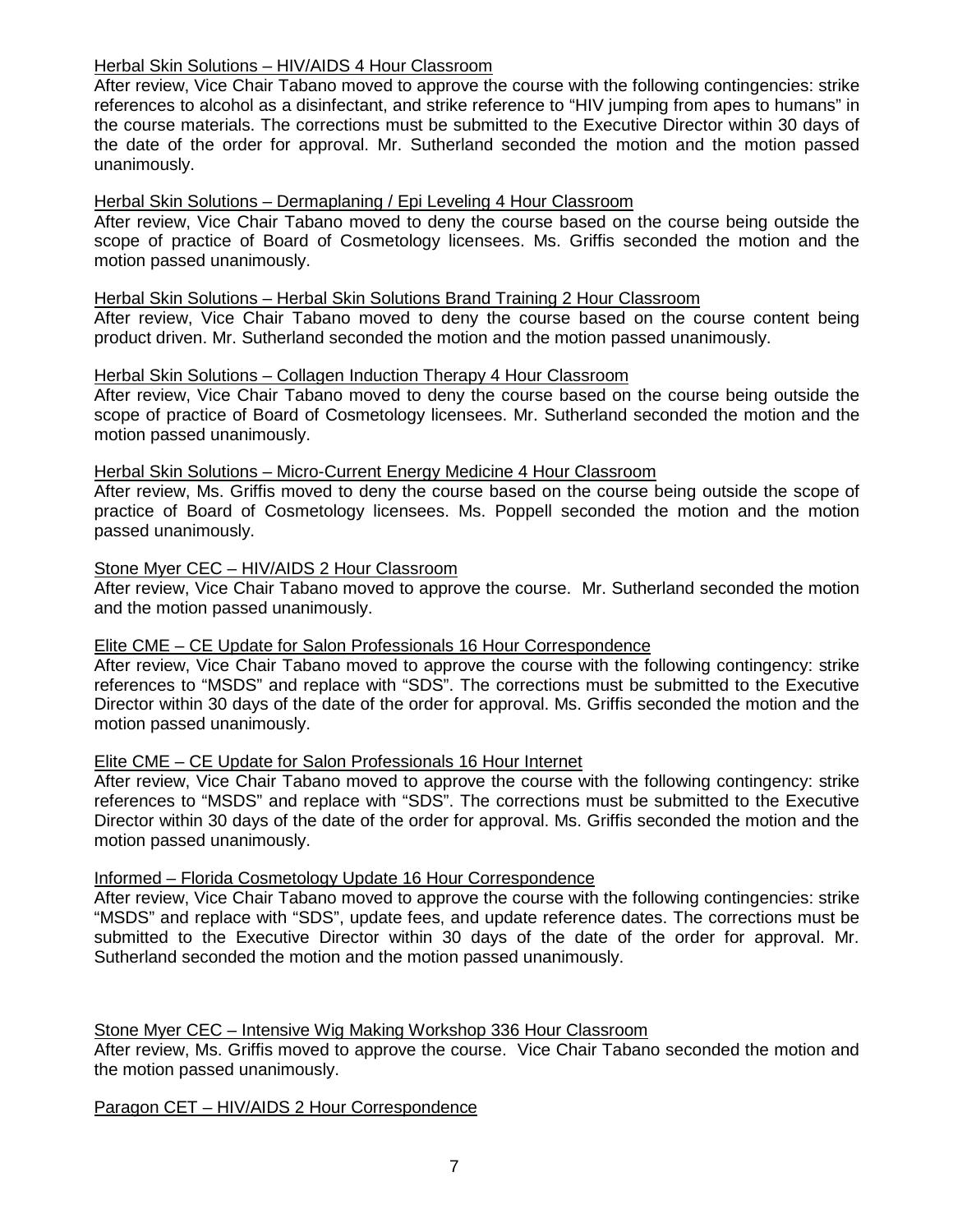# Herbal Skin Solutions – HIV/AIDS 4 Hour Classroom

After review, Vice Chair Tabano moved to approve the course with the following contingencies: strike references to alcohol as a disinfectant, and strike reference to "HIV jumping from apes to humans" in the course materials. The corrections must be submitted to the Executive Director within 30 days of the date of the order for approval. Mr. Sutherland seconded the motion and the motion passed unanimously.

# Herbal Skin Solutions – Dermaplaning / Epi Leveling 4 Hour Classroom

After review, Vice Chair Tabano moved to deny the course based on the course being outside the scope of practice of Board of Cosmetology licensees. Ms. Griffis seconded the motion and the motion passed unanimously.

# Herbal Skin Solutions – Herbal Skin Solutions Brand Training 2 Hour Classroom

After review, Vice Chair Tabano moved to deny the course based on the course content being product driven. Mr. Sutherland seconded the motion and the motion passed unanimously.

# Herbal Skin Solutions – Collagen Induction Therapy 4 Hour Classroom

After review, Vice Chair Tabano moved to deny the course based on the course being outside the scope of practice of Board of Cosmetology licensees. Mr. Sutherland seconded the motion and the motion passed unanimously.

#### Herbal Skin Solutions – Micro-Current Energy Medicine 4 Hour Classroom

After review, Ms. Griffis moved to deny the course based on the course being outside the scope of practice of Board of Cosmetology licensees. Ms. Poppell seconded the motion and the motion passed unanimously.

#### Stone Myer CEC – HIV/AIDS 2 Hour Classroom

After review, Vice Chair Tabano moved to approve the course. Mr. Sutherland seconded the motion and the motion passed unanimously.

# Elite CME – CE Update for Salon Professionals 16 Hour Correspondence

After review, Vice Chair Tabano moved to approve the course with the following contingency: strike references to "MSDS" and replace with "SDS". The corrections must be submitted to the Executive Director within 30 days of the date of the order for approval. Ms. Griffis seconded the motion and the motion passed unanimously.

# Elite CME – CE Update for Salon Professionals 16 Hour Internet

After review, Vice Chair Tabano moved to approve the course with the following contingency: strike references to "MSDS" and replace with "SDS". The corrections must be submitted to the Executive Director within 30 days of the date of the order for approval. Ms. Griffis seconded the motion and the motion passed unanimously.

# Informed – Florida Cosmetology Update 16 Hour Correspondence

After review, Vice Chair Tabano moved to approve the course with the following contingencies: strike "MSDS" and replace with "SDS", update fees, and update reference dates. The corrections must be submitted to the Executive Director within 30 days of the date of the order for approval. Mr. Sutherland seconded the motion and the motion passed unanimously.

# Stone Myer CEC – Intensive Wig Making Workshop 336 Hour Classroom

After review, Ms. Griffis moved to approve the course. Vice Chair Tabano seconded the motion and the motion passed unanimously.

# Paragon CET – HIV/AIDS 2 Hour Correspondence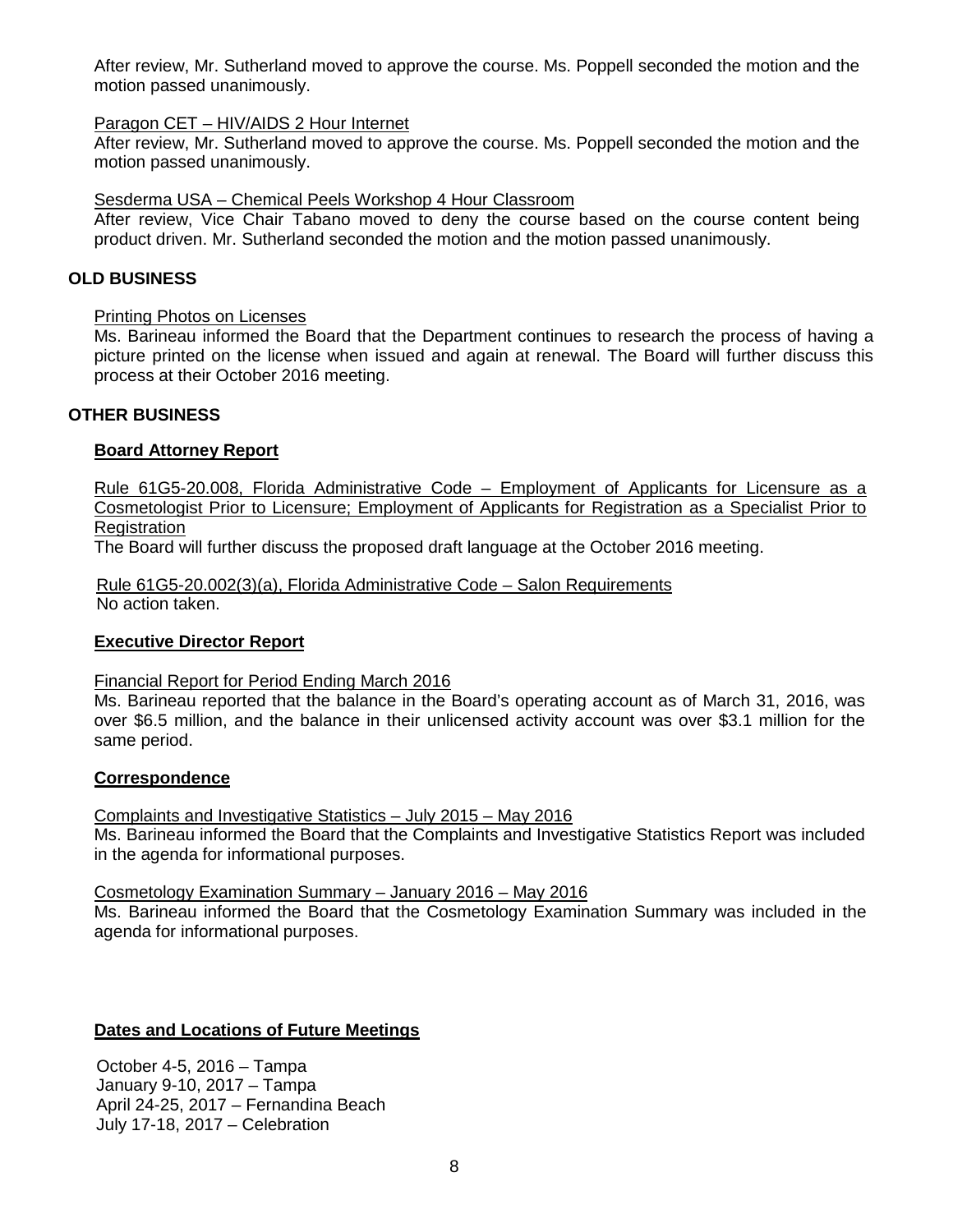After review, Mr. Sutherland moved to approve the course. Ms. Poppell seconded the motion and the motion passed unanimously.

# Paragon CET – HIV/AIDS 2 Hour Internet

After review, Mr. Sutherland moved to approve the course. Ms. Poppell seconded the motion and the motion passed unanimously.

# Sesderma USA – Chemical Peels Workshop 4 Hour Classroom

After review, Vice Chair Tabano moved to deny the course based on the course content being product driven. Mr. Sutherland seconded the motion and the motion passed unanimously.

# **OLD BUSINESS**

# Printing Photos on Licenses

Ms. Barineau informed the Board that the Department continues to research the process of having a picture printed on the license when issued and again at renewal. The Board will further discuss this process at their October 2016 meeting.

# **OTHER BUSINESS**

# **Board Attorney Report**

Rule 61G5-20.008, Florida Administrative Code – Employment of Applicants for Licensure as a Cosmetologist Prior to Licensure; Employment of Applicants for Registration as a Specialist Prior to **Registration** 

The Board will further discuss the proposed draft language at the October 2016 meeting.

Rule 61G5-20.002(3)(a), Florida Administrative Code – Salon Requirements No action taken.

# **Executive Director Report**

# Financial Report for Period Ending March 2016

Ms. Barineau reported that the balance in the Board's operating account as of March 31, 2016, was over \$6.5 million, and the balance in their unlicensed activity account was over \$3.1 million for the same period.

# **Correspondence**

Complaints and Investigative Statistics – July 2015 – May 2016 Ms. Barineau informed the Board that the Complaints and Investigative Statistics Report was included in the agenda for informational purposes.

# Cosmetology Examination Summary – January 2016 – May 2016

Ms. Barineau informed the Board that the Cosmetology Examination Summary was included in the agenda for informational purposes.

# **Dates and Locations of Future Meetings**

October 4-5, 2016 – Tampa January 9-10, 2017 – Tampa April 24-25, 2017 – Fernandina Beach July 17-18, 2017 – Celebration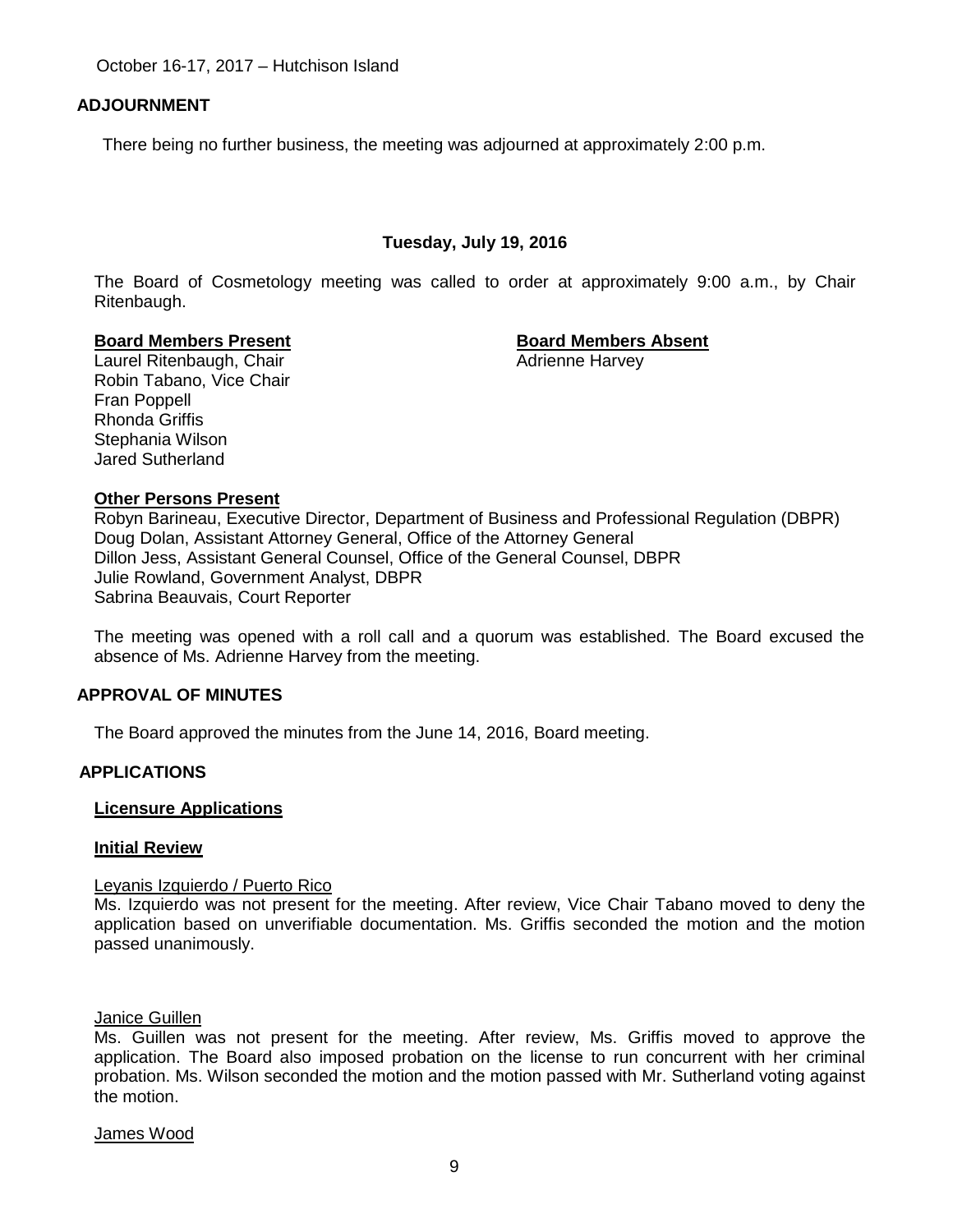October 16-17, 2017 – Hutchison Island

# **ADJOURNMENT**

There being no further business, the meeting was adjourned at approximately 2:00 p.m.

# **Tuesday, July 19, 2016**

The Board of Cosmetology meeting was called to order at approximately 9:00 a.m., by Chair Ritenbaugh.

#### **Board Members Present Board Members Absent**

Laurel Ritenbaugh, Chair **Adrienne Harvey** Adrienne Harvey Robin Tabano, Vice Chair Fran Poppell Rhonda Griffis Stephania Wilson Jared Sutherland

# **Other Persons Present**

Robyn Barineau, Executive Director, Department of Business and Professional Regulation (DBPR) Doug Dolan, Assistant Attorney General, Office of the Attorney General Dillon Jess, Assistant General Counsel, Office of the General Counsel, DBPR Julie Rowland, Government Analyst, DBPR Sabrina Beauvais, Court Reporter

The meeting was opened with a roll call and a quorum was established. The Board excused the absence of Ms. Adrienne Harvey from the meeting.

# **APPROVAL OF MINUTES**

The Board approved the minutes from the June 14, 2016, Board meeting.

# **APPLICATIONS**

# **Licensure Applications**

#### **Initial Review**

#### Leyanis Izquierdo / Puerto Rico

Ms. Izquierdo was not present for the meeting. After review, Vice Chair Tabano moved to deny the application based on unverifiable documentation. Ms. Griffis seconded the motion and the motion passed unanimously.

#### Janice Guillen

Ms. Guillen was not present for the meeting. After review, Ms. Griffis moved to approve the application. The Board also imposed probation on the license to run concurrent with her criminal probation. Ms. Wilson seconded the motion and the motion passed with Mr. Sutherland voting against the motion.

James Wood